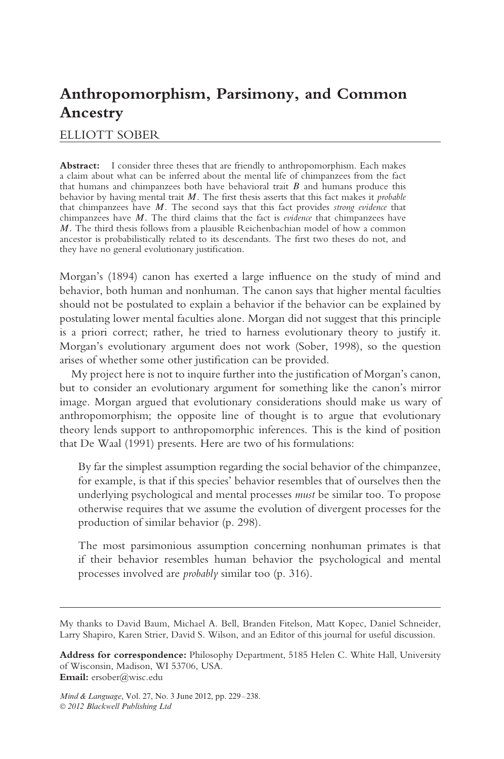# **Anthropomorphism, Parsimony, and Common Ancestry**

# ELLIOTT SOBER

**Abstract:** I consider three theses that are friendly to anthropomorphism. Each makes a claim about what can be inferred about the mental life of chimpanzees from the fact that humans and chimpanzees both have behavioral trait *B* and humans produce this behavior by having mental trait *M*. The first thesis asserts that this fact makes it *probable* that chimpanzees have *M*. The second says that this fact provides *strong evidence* that chimpanzees have *M.* The third claims that the fact is *evidence* that chimpanzees have *M.* The third thesis follows from a plausible Reichenbachian model of how a common ancestor is probabilistically related to its descendants. The first two theses do not, and they have no general evolutionary justification.

Morgan's (1894) canon has exerted a large influence on the study of mind and behavior, both human and nonhuman. The canon says that higher mental faculties should not be postulated to explain a behavior if the behavior can be explained by postulating lower mental faculties alone. Morgan did not suggest that this principle is a priori correct; rather, he tried to harness evolutionary theory to justify it. Morgan's evolutionary argument does not work (Sober, 1998), so the question arises of whether some other justification can be provided.

My project here is not to inquire further into the justification of Morgan's canon, but to consider an evolutionary argument for something like the canon's mirror image. Morgan argued that evolutionary considerations should make us wary of anthropomorphism; the opposite line of thought is to argue that evolutionary theory lends support to anthropomorphic inferences. This is the kind of position that De Waal (1991) presents. Here are two of his formulations:

By far the simplest assumption regarding the social behavior of the chimpanzee, for example, is that if this species' behavior resembles that of ourselves then the underlying psychological and mental processes *must* be similar too. To propose otherwise requires that we assume the evolution of divergent processes for the production of similar behavior (p. 298).

The most parsimonious assumption concerning nonhuman primates is that if their behavior resembles human behavior the psychological and mental processes involved are *probably* similar too (p. 316).

My thanks to David Baum, Michael A. Bell, Branden Fitelson, Matt Kopec, Daniel Schneider, Larry Shapiro, Karen Strier, David S. Wilson, and an Editor of this journal for useful discussion.

**Address for correspondence:** Philosophy Department, 5185 Helen C. White Hall, University of Wisconsin, Madison, WI 53706, USA. **Email:** ersober@wisc.edu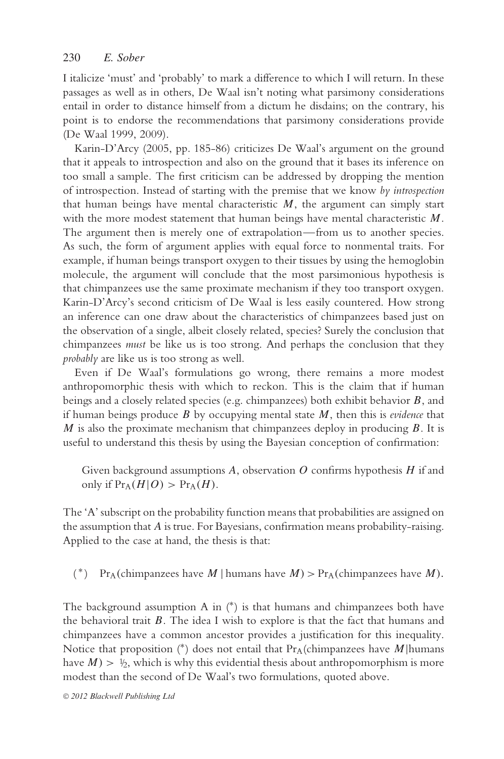I italicize 'must' and 'probably' to mark a difference to which I will return. In these passages as well as in others, De Waal isn't noting what parsimony considerations entail in order to distance himself from a dictum he disdains; on the contrary, his point is to endorse the recommendations that parsimony considerations provide (De Waal 1999, 2009).

Karin-D'Arcy (2005, pp. 185-86) criticizes De Waal's argument on the ground that it appeals to introspection and also on the ground that it bases its inference on too small a sample. The first criticism can be addressed by dropping the mention of introspection. Instead of starting with the premise that we know *by introspection* that human beings have mental characteristic  $M$ , the argument can simply start with the more modest statement that human beings have mental characteristic *M*. The argument then is merely one of extrapolation—from us to another species. As such, the form of argument applies with equal force to nonmental traits. For example, if human beings transport oxygen to their tissues by using the hemoglobin molecule, the argument will conclude that the most parsimonious hypothesis is that chimpanzees use the same proximate mechanism if they too transport oxygen. Karin-D'Arcy's second criticism of De Waal is less easily countered. How strong an inference can one draw about the characteristics of chimpanzees based just on the observation of a single, albeit closely related, species? Surely the conclusion that chimpanzees *must* be like us is too strong. And perhaps the conclusion that they *probably* are like us is too strong as well.

Even if De Waal's formulations go wrong, there remains a more modest anthropomorphic thesis with which to reckon. This is the claim that if human beings and a closely related species (e.g. chimpanzees) both exhibit behavior *B*, and if human beings produce *B* by occupying mental state *M*, then this is *evidence* that *M* is also the proximate mechanism that chimpanzees deploy in producing *B*. It is useful to understand this thesis by using the Bayesian conception of confirmation:

Given background assumptions *A*, observation *O* confirms hypothesis *H* if and only if  $Pr_A(H|O) > Pr_A(H)$ .

The 'A' subscript on the probability function means that probabilities are assigned on the assumption that *A* is true. For Bayesians, confirmation means probability-raising. Applied to the case at hand, the thesis is that:

(\*) Pr<sub>A</sub>(chimpanzees have *M* | humans have *M*) > Pr<sub>A</sub>(chimpanzees have *M*).

The background assumption A in  $(*)$  is that humans and chimpanzees both have the behavioral trait *B*. The idea I wish to explore is that the fact that humans and chimpanzees have a common ancestor provides a justification for this inequality. Notice that proposition (\*) does not entail that  $Pr_A$ (chimpanzees have *M*|humans have  $M$ )  $>$   $\frac{1}{2}$ , which is why this evidential thesis about anthropomorphism is more modest than the second of De Waal's two formulations, quoted above.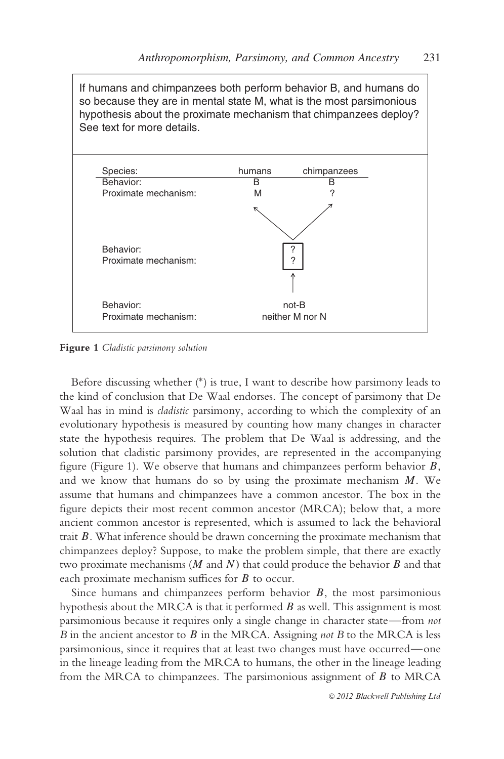If humans and chimpanzees both perform behavior B, and humans do so because they are in mental state M, what is the most parsimonious hypothesis about the proximate mechanism that chimpanzees deploy? See text for more details.



**Figure 1** *Cladistic parsimony solution*

Before discussing whether (\*) is true, I want to describe how parsimony leads to the kind of conclusion that De Waal endorses. The concept of parsimony that De Waal has in mind is *cladistic* parsimony, according to which the complexity of an evolutionary hypothesis is measured by counting how many changes in character state the hypothesis requires. The problem that De Waal is addressing, and the solution that cladistic parsimony provides, are represented in the accompanying figure (Figure 1). We observe that humans and chimpanzees perform behavior *B*, and we know that humans do so by using the proximate mechanism *M*. We assume that humans and chimpanzees have a common ancestor. The box in the figure depicts their most recent common ancestor (MRCA); below that, a more ancient common ancestor is represented, which is assumed to lack the behavioral trait *B*. What inference should be drawn concerning the proximate mechanism that chimpanzees deploy? Suppose, to make the problem simple, that there are exactly two proximate mechanisms  $(M \text{ and } N)$  that could produce the behavior  $B$  and that each proximate mechanism suffices for *B* to occur.

Since humans and chimpanzees perform behavior *B*, the most parsimonious hypothesis about the MRCA is that it performed *B* as well. This assignment is most parsimonious because it requires only a single change in character state—from *not B* in the ancient ancestor to *B* in the MRCA. Assigning *not B* to the MRCA is less parsimonious, since it requires that at least two changes must have occurred—one in the lineage leading from the MRCA to humans, the other in the lineage leading from the MRCA to chimpanzees. The parsimonious assignment of *B* to MRCA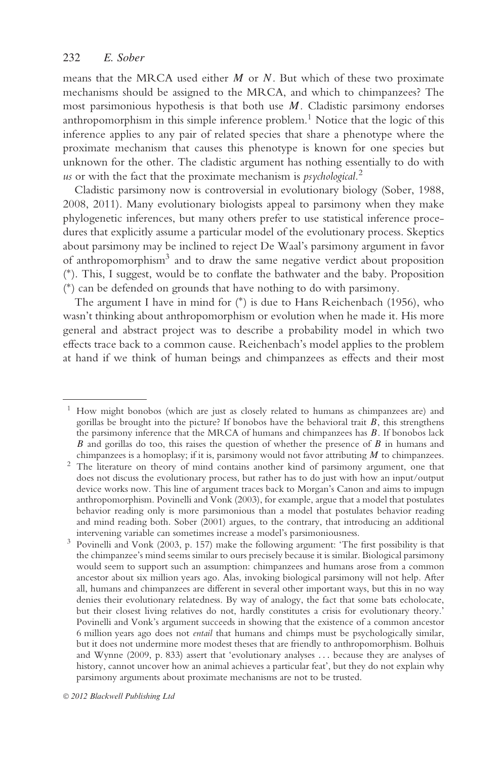means that the MRCA used either *M* or *N*. But which of these two proximate mechanisms should be assigned to the MRCA, and which to chimpanzees? The most parsimonious hypothesis is that both use *M*. Cladistic parsimony endorses anthropomorphism in this simple inference problem.<sup>1</sup> Notice that the logic of this inference applies to any pair of related species that share a phenotype where the proximate mechanism that causes this phenotype is known for one species but unknown for the other. The cladistic argument has nothing essentially to do with *us* or with the fact that the proximate mechanism is *psychological.*<sup>2</sup>

Cladistic parsimony now is controversial in evolutionary biology (Sober, 1988, 2008, 2011). Many evolutionary biologists appeal to parsimony when they make phylogenetic inferences, but many others prefer to use statistical inference procedures that explicitly assume a particular model of the evolutionary process. Skeptics about parsimony may be inclined to reject De Waal's parsimony argument in favor of anthropomorphism<sup>3</sup> and to draw the same negative verdict about proposition ( ∗). This, I suggest, would be to conflate the bathwater and the baby. Proposition ( ∗) can be defended on grounds that have nothing to do with parsimony.

The argument I have in mind for (∗) is due to Hans Reichenbach (1956), who wasn't thinking about anthropomorphism or evolution when he made it. His more general and abstract project was to describe a probability model in which two effects trace back to a common cause. Reichenbach's model applies to the problem at hand if we think of human beings and chimpanzees as effects and their most

 $1$  How might bonobos (which are just as closely related to humans as chimpanzees are) and gorillas be brought into the picture? If bonobos have the behavioral trait *B*, this strengthens the parsimony inference that the MRCA of humans and chimpanzees has *B*. If bonobos lack *B* and gorillas do too, this raises the question of whether the presence of *B* in humans and

chimpanzees is a homoplasy; if it is, parsimony would not favor attributing *<sup>M</sup>* to chimpanzees. <sup>2</sup> The literature on theory of mind contains another kind of parsimony argument, one that does not discuss the evolutionary process, but rather has to do just with how an input/output device works now. This line of argument traces back to Morgan's Canon and aims to impugn anthropomorphism. Povinelli and Vonk (2003), for example, argue that a model that postulates behavior reading only is more parsimonious than a model that postulates behavior reading and mind reading both. Sober (2001) argues, to the contrary, that introducing an additional

intervening variable can sometimes increase a model's parsimoniousness. <sup>3</sup> Povinelli and Vonk (2003, p. 157) make the following argument: 'The first possibility is that the chimpanzee's mind seems similar to ours precisely because it is similar. Biological parsimony would seem to support such an assumption: chimpanzees and humans arose from a common ancestor about six million years ago. Alas, invoking biological parsimony will not help. After all, humans and chimpanzees are different in several other important ways, but this in no way denies their evolutionary relatedness. By way of analogy, the fact that some bats echolocate, but their closest living relatives do not, hardly constitutes a crisis for evolutionary theory.' Povinelli and Vonk's argument succeeds in showing that the existence of a common ancestor 6 million years ago does not *entail* that humans and chimps must be psychologically similar, but it does not undermine more modest theses that are friendly to anthropomorphism. Bolhuis and Wynne (2009, p. 833) assert that 'evolutionary analyses *...* because they are analyses of history, cannot uncover how an animal achieves a particular feat', but they do not explain why parsimony arguments about proximate mechanisms are not to be trusted.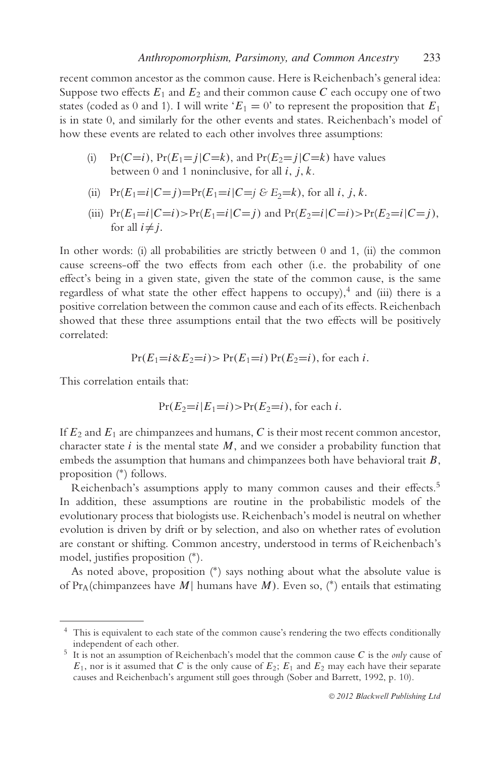recent common ancestor as the common cause. Here is Reichenbach's general idea: Suppose two effects  $E_1$  and  $E_2$  and their common cause  $C$  each occupy one of two states (coded as 0 and 1). I will write ' $E_1 = 0$ ' to represent the proposition that  $E_1$ is in state 0, and similarly for the other events and states. Reichenbach's model of how these events are related to each other involves three assumptions:

(i) Pr( $C=i$ ), Pr( $E_1=j|C=k$ ), and Pr( $E_2=j|C=k$ ) have values between 0 and 1 noninclusive, for all *i, j, k*.

(ii) 
$$
Pr(E_1=i|C=j)=Pr(E_1=i|C=j \& E_2=k)
$$
, for all *i*, *j*, *k*.

(iii)  $Pr(E_1=i|C=i) > Pr(E_1=i|C=i)$  and  $Pr(E_2=i|C=i) > Pr(E_2=i|C=i)$ , for all  $i \neq j$ .

In other words: (i) all probabilities are strictly between 0 and 1, (ii) the common cause screens-off the two effects from each other (i.e. the probability of one effect's being in a given state, given the state of the common cause, is the same regardless of what state the other effect happens to occupy),<sup>4</sup> and (iii) there is a positive correlation between the common cause and each of its effects. Reichenbach showed that these three assumptions entail that the two effects will be positively correlated:

$$
Pr(E_1 = i \& E_2 = i) > Pr(E_1 = i) Pr(E_2 = i),
$$
 for each *i*.

This correlation entails that:

$$
Pr(E_2=i|E_1=i) > Pr(E_2=i)
$$
, for each *i*.

If *E*<sup>2</sup> and *E*<sup>1</sup> are chimpanzees and humans, *C* is their most recent common ancestor, character state  $i$  is the mental state  $M$ , and we consider a probability function that embeds the assumption that humans and chimpanzees both have behavioral trait *B*, proposition (∗) follows.

Reichenbach's assumptions apply to many common causes and their effects.<sup>5</sup> In addition, these assumptions are routine in the probabilistic models of the evolutionary process that biologists use. Reichenbach's model is neutral on whether evolution is driven by drift or by selection, and also on whether rates of evolution are constant or shifting. Common ancestry, understood in terms of Reichenbach's model, justifies proposition (∗).

As noted above, proposition (∗) says nothing about what the absolute value is of Pr<sub>A</sub>(chimpanzees have *M*) humans have *M*). Even so, (\*) entails that estimating

<sup>&</sup>lt;sup>4</sup> This is equivalent to each state of the common cause's rendering the two effects conditionally independent of each other.

 $\frac{5}{10}$  It is not an assumption of Reichenbach's model that the common cause *C* is the *only* cause of  $E_1$ , nor is it assumed that *C* is the only cause of  $E_2$ ;  $E_1$  and  $E_2$  may each have their separate causes and Reichenbach's argument still goes through (Sober and Barrett, 1992, p. 10).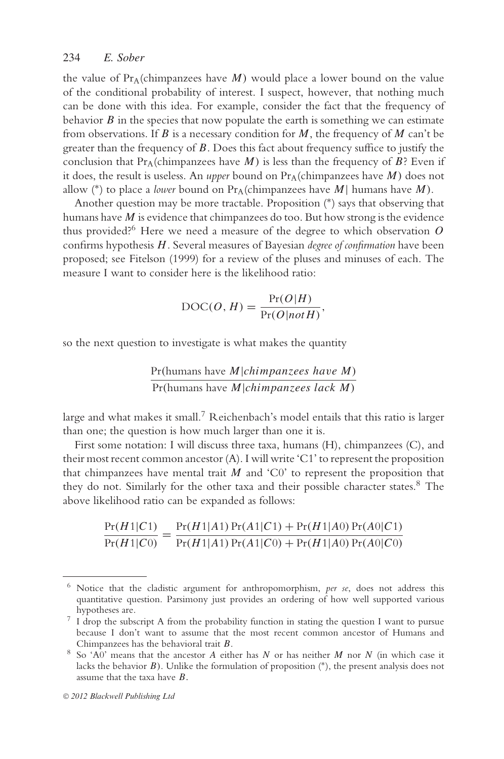the value of  $Pr_A$ (chimpanzees have  $M$ ) would place a lower bound on the value of the conditional probability of interest. I suspect, however, that nothing much can be done with this idea. For example, consider the fact that the frequency of behavior  $\hat{B}$  in the species that now populate the earth is something we can estimate from observations. If *B* is a necessary condition for *M*, the frequency of *M* can't be greater than the frequency of *B*. Does this fact about frequency suffice to justify the conclusion that  $Pr_A$ (chimpanzees have *M*) is less than the frequency of *B*? Even if it does, the result is useless. An *upper* bound on  $Pr_A$ (chimpanzees have  $M$ ) does not allow (\*) to place a *lower* bound on  $Pr_A$ (chimpanzees have *M*) humans have *M*).

Another question may be more tractable. Proposition (∗) says that observing that humans have *M* is evidence that chimpanzees do too. But how strong is the evidence thus provided?6 Here we need a measure of the degree to which observation *O* confirms hypothesis *H*. Several measures of Bayesian *degree of confirmation* have been proposed; see Fitelson (1999) for a review of the pluses and minuses of each. The measure I want to consider here is the likelihood ratio:

$$
\text{DOC}(O, H) = \frac{\Pr(O|H)}{\Pr(O|notH)},
$$

so the next question to investigate is what makes the quantity

$$
\frac{\Pr(\text{humans have } M | \text{chimpanzees have } M)}{\Pr(\text{humans have } M | \text{chimpanzees lack } M)}
$$

large and what makes it small.7 Reichenbach's model entails that this ratio is larger than one; the question is how much larger than one it is.

First some notation: I will discuss three taxa, humans (H), chimpanzees (C), and their most recent common ancestor (A). I will write 'C1' to represent the proposition that chimpanzees have mental trait  $M$  and 'C0' to represent the proposition that they do not. Similarly for the other taxa and their possible character states.<sup>8</sup> The above likelihood ratio can be expanded as follows:

$$
\frac{\Pr(H1|C1)}{\Pr(H1|C0)} = \frac{\Pr(H1|A1)\Pr(A1|C1) + \Pr(H1|A0)\Pr(A0|C1)}{\Pr(H1|A1)\Pr(A1|C0) + \Pr(H1|A0)\Pr(A0|C0)}
$$

<sup>6</sup> Notice that the cladistic argument for anthropomorphism, *per se*, does not address this quantitative question. Parsimony just provides an ordering of how well supported various

hypotheses are. <sup>7</sup> I drop the subscript A from the probability function in stating the question I want to pursue because I don't want to assume that the most recent common ancestor of Humans and Chimpanzees has the behavioral trait  $B$ .

<sup>&</sup>lt;sup>8</sup> So 'A0' means that the ancestor *A* either has *N* or has neither *M* nor *N* (in which case it lacks the behavior *B)*. Unlike the formulation of proposition (∗), the present analysis does not assume that the taxa have *B.*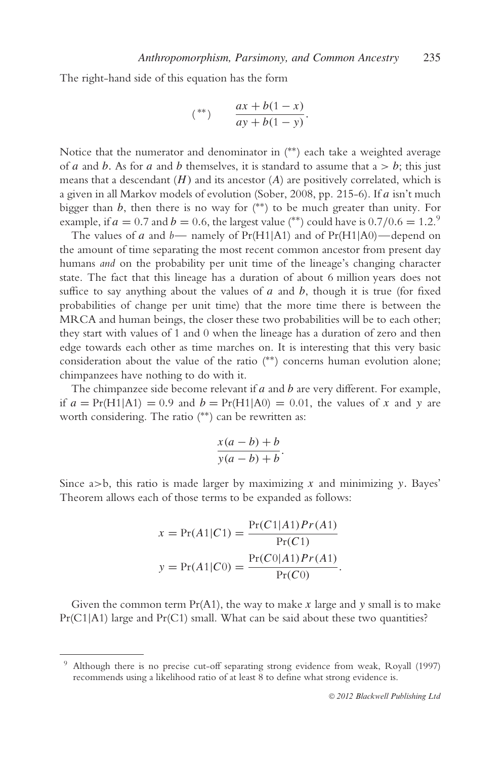The right-hand side of this equation has the form

$$
(**) \qquad \frac{ax + b(1-x)}{ay + b(1-y)}.
$$

Notice that the numerator and denominator in (∗∗) each take a weighted average of *a* and *b*. As for *a* and *b* themselves, it is standard to assume that  $a > b$ ; this just means that a descendant  $(H)$  and its ancestor  $(A)$  are positively correlated, which is a given in all Markov models of evolution (Sober, 2008, pp. 215-6). If *a* isn't much bigger than  $b$ , then there is no way for  $(**)$  to be much greater than unity. For example, if  $a = 0.7$  and  $b = 0.6$ , the largest value (\*\*) could have is  $0.7/0.6 = 1.2$ .<sup>9</sup>

The values of *a* and *b—* namely of Pr(H1|A1) and of Pr(H1|A0)—depend on the amount of time separating the most recent common ancestor from present day humans *and* on the probability per unit time of the lineage's changing character state. The fact that this lineage has a duration of about 6 million years does not suffice to say anything about the values of *a* and *b*, though it is true (for fixed probabilities of change per unit time) that the more time there is between the MRCA and human beings, the closer these two probabilities will be to each other; they start with values of 1 and 0 when the lineage has a duration of zero and then edge towards each other as time marches on. It is interesting that this very basic consideration about the value of the ratio (∗∗) concerns human evolution alone; chimpanzees have nothing to do with it.

The chimpanzee side become relevant if *a* and *b* are very different. For example, if  $a = Pr(H1|A1) = 0.9$  and  $b = Pr(H1|A0) = 0.01$ , the values of *x* and *y* are worth considering. The ratio (\*\*) can be rewritten as:

$$
\frac{x(a-b)+b}{y(a-b)+b}.
$$

Since a*>*b, this ratio is made larger by maximizing *x* and minimizing *y.* Bayes' Theorem allows each of those terms to be expanded as follows:

$$
x = Pr(A1|C1) = \frac{Pr(C1|A1)Pr(A1)}{Pr(C1)}
$$

$$
y = Pr(A1|C0) = \frac{Pr(C0|A1)Pr(A1)}{Pr(C0)}.
$$

Given the common term Pr(A1), the way to make *x* large and *y* small is to make  $Pr(C1|A1)$  large and  $Pr(C1)$  small. What can be said about these two quantities?

<sup>9</sup> Although there is no precise cut-off separating strong evidence from weak, Royall (1997) recommends using a likelihood ratio of at least 8 to define what strong evidence is.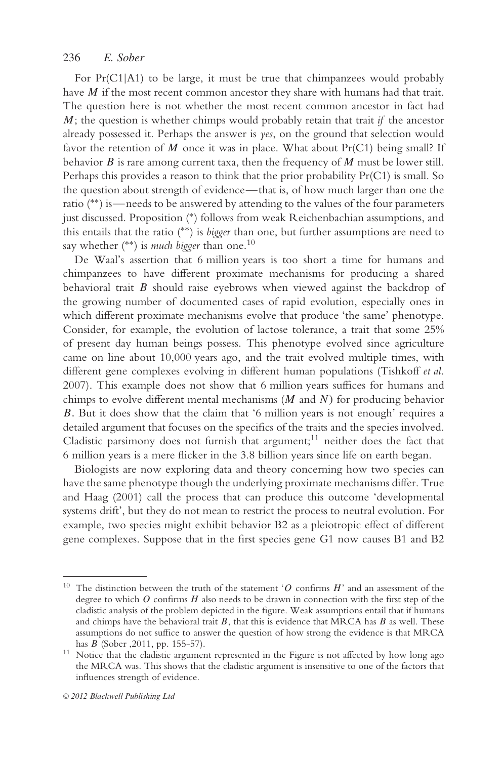For Pr(C1|A1) to be large, it must be true that chimpanzees would probably have *M* if the most recent common ancestor they share with humans had that trait. The question here is not whether the most recent common ancestor in fact had *M*; the question is whether chimps would probably retain that trait *if* the ancestor already possessed it. Perhaps the answer is *yes*, on the ground that selection would favor the retention of *M* once it was in place. What about Pr(C1) being small? If behavior *B* is rare among current taxa, then the frequency of *M* must be lower still. Perhaps this provides a reason to think that the prior probability Pr(C1) is small. So the question about strength of evidence—that is, of how much larger than one the ratio (∗∗) is—needs to be answered by attending to the values of the four parameters just discussed. Proposition (\*) follows from weak Reichenbachian assumptions, and this entails that the ratio (∗∗) is *bigger* than one, but further assumptions are need to say whether (<sup>\*\*</sup>) is *much bigger* than one.<sup>10</sup>

De Waal's assertion that 6 million years is too short a time for humans and chimpanzees to have different proximate mechanisms for producing a shared behavioral trait *B* should raise eyebrows when viewed against the backdrop of the growing number of documented cases of rapid evolution, especially ones in which different proximate mechanisms evolve that produce 'the same' phenotype. Consider, for example, the evolution of lactose tolerance, a trait that some 25% of present day human beings possess. This phenotype evolved since agriculture came on line about 10,000 years ago, and the trait evolved multiple times, with different gene complexes evolving in different human populations (Tishkoff *et al*. 2007). This example does not show that 6 million years suffices for humans and chimps to evolve different mental mechanisms (*M* and *N )* for producing behavior *B.* But it does show that the claim that '6 million years is not enough' requires a detailed argument that focuses on the specifics of the traits and the species involved. Cladistic parsimony does not furnish that argument;<sup>11</sup> neither does the fact that 6 million years is a mere flicker in the 3.8 billion years since life on earth began.

Biologists are now exploring data and theory concerning how two species can have the same phenotype though the underlying proximate mechanisms differ. True and Haag (2001) call the process that can produce this outcome 'developmental systems drift', but they do not mean to restrict the process to neutral evolution. For example, two species might exhibit behavior B2 as a pleiotropic effect of different gene complexes. Suppose that in the first species gene G1 now causes B1 and B2

<sup>10</sup> The distinction between the truth of the statement '*O* confirms *H*' and an assessment of the degree to which *O* confirms *H* also needs to be drawn in connection with the first step of the cladistic analysis of the problem depicted in the figure. Weak assumptions entail that if humans and chimps have the behavioral trait *B*, that this is evidence that MRCA has *B* as well. These assumptions do not suffice to answer the question of how strong the evidence is that MRCA has  $B$  (Sober , 2011, pp. 155-57).

<sup>&</sup>lt;sup>11</sup> Notice that the cladistic argument represented in the Figure is not affected by how long ago the MRCA was. This shows that the cladistic argument is insensitive to one of the factors that influences strength of evidence.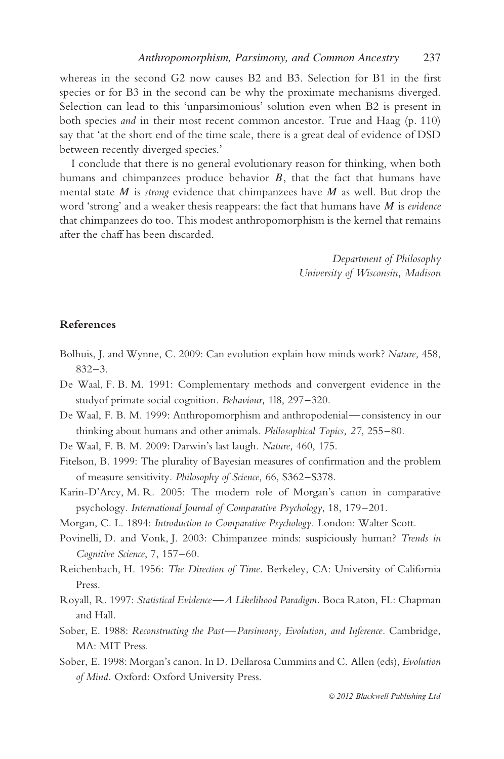whereas in the second G2 now causes B2 and B3. Selection for B1 in the first species or for B3 in the second can be why the proximate mechanisms diverged. Selection can lead to this 'unparsimonious' solution even when B2 is present in both species *and* in their most recent common ancestor. True and Haag (p. 110) say that 'at the short end of the time scale, there is a great deal of evidence of DSD between recently diverged species.'

I conclude that there is no general evolutionary reason for thinking, when both humans and chimpanzees produce behavior *B*, that the fact that humans have mental state *M* is *strong* evidence that chimpanzees have *M* as well. But drop the word 'strong' and a weaker thesis reappears: the fact that humans have *M* is *evidence* that chimpanzees do too. This modest anthropomorphism is the kernel that remains after the chaff has been discarded.

> *Department of Philosophy University of Wisconsin, Madison*

#### **References**

- Bolhuis, J. and Wynne, C. 2009: Can evolution explain how minds work? *Nature,* 458, 832–3.
- De Waal, F. B. M. 1991: Complementary methods and convergent evidence in the studyof primate social cognition. *Behaviour,* 1l8, 297–320.
- De Waal, F. B. M. 1999: Anthropomorphism and anthropodenial—consistency in our thinking about humans and other animals. *Philosophical Topics, 27*, 255–80.
- De Waal, F. B. M. 2009: Darwin's last laugh. *Nature,* 460, 175.
- Fitelson, B. 1999: The plurality of Bayesian measures of confirmation and the problem of measure sensitivity. *Philosophy of Science,* 66, S362–S378.
- Karin-D'Arcy, M. R. 2005: The modern role of Morgan's canon in comparative psychology. *International Journal of Comparative Psychology*, 18, 179–201.

Morgan, C. L. 1894: *Introduction to Comparative Psychology.* London: Walter Scott.

- Povinelli, D. and Vonk, J. 2003: Chimpanzee minds: suspiciously human? *Trends in Cognitive Science*, 7, 157–60.
- Reichenbach, H. 1956: *The Direction of Time.* Berkeley, CA: University of California Press.
- Royall, R. 1997: *Statistical Evidence—A Likelihood Paradigm.* Boca Raton, FL: Chapman and Hall.
- Sober, E. 1988: *Reconstructing the Past—Parsimony, Evolution, and Inference.* Cambridge, MA: MIT Press.
- Sober, E. 1998: Morgan's canon. In D. Dellarosa Cummins and C. Allen (eds), *Evolution of Mind.* Oxford: Oxford University Press.